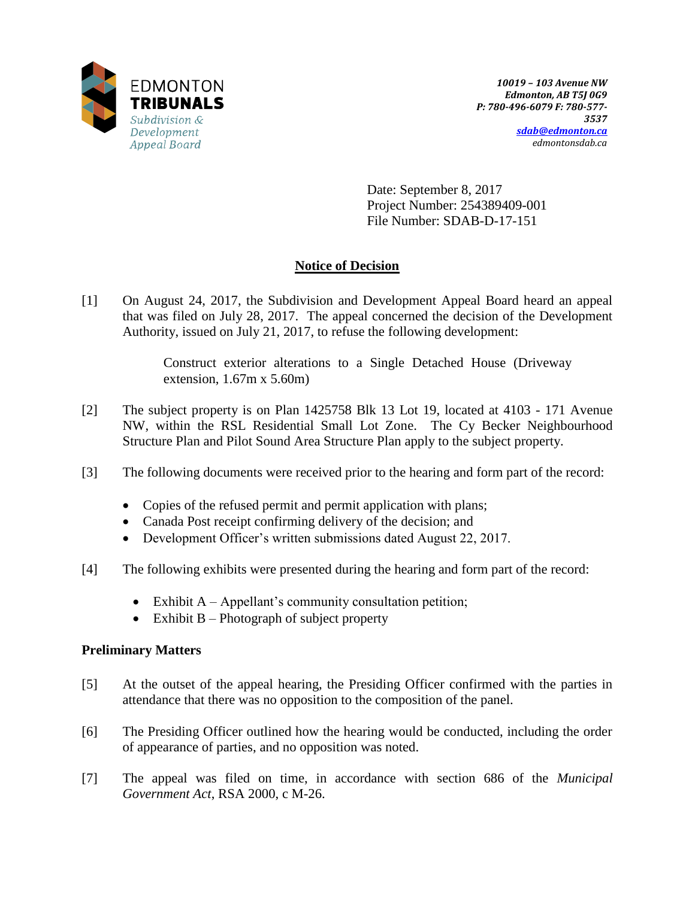

Date: September 8, 2017 Project Number: 254389409-001 File Number: SDAB-D-17-151

# **Notice of Decision**

[1] On August 24, 2017, the Subdivision and Development Appeal Board heard an appeal that was filed on July 28, 2017. The appeal concerned the decision of the Development Authority, issued on July 21, 2017, to refuse the following development:

> Construct exterior alterations to a Single Detached House (Driveway extension, 1.67m x 5.60m)

- [2] The subject property is on Plan 1425758 Blk 13 Lot 19, located at 4103 171 Avenue NW, within the RSL Residential Small Lot Zone. The Cy Becker Neighbourhood Structure Plan and Pilot Sound Area Structure Plan apply to the subject property.
- [3] The following documents were received prior to the hearing and form part of the record:
	- Copies of the refused permit and permit application with plans;
	- Canada Post receipt confirming delivery of the decision; and
	- Development Officer's written submissions dated August 22, 2017.
- [4] The following exhibits were presented during the hearing and form part of the record:
	- Exhibit  $A Appellant's community consultation~petition;$
	- Exhibit  $B Photograph$  of subject property

## **Preliminary Matters**

- [5] At the outset of the appeal hearing, the Presiding Officer confirmed with the parties in attendance that there was no opposition to the composition of the panel.
- [6] The Presiding Officer outlined how the hearing would be conducted, including the order of appearance of parties, and no opposition was noted.
- [7] The appeal was filed on time, in accordance with section 686 of the *Municipal Government Act*, RSA 2000, c M-26.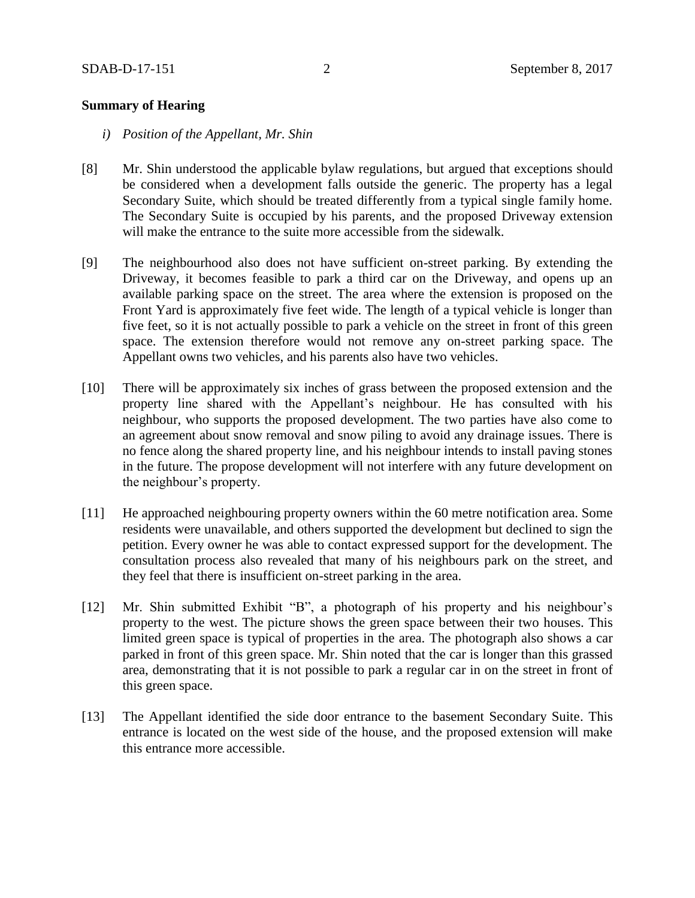### **Summary of Hearing**

- *i) Position of the Appellant, Mr. Shin*
- [8] Mr. Shin understood the applicable bylaw regulations, but argued that exceptions should be considered when a development falls outside the generic. The property has a legal Secondary Suite, which should be treated differently from a typical single family home. The Secondary Suite is occupied by his parents, and the proposed Driveway extension will make the entrance to the suite more accessible from the sidewalk.
- [9] The neighbourhood also does not have sufficient on-street parking. By extending the Driveway, it becomes feasible to park a third car on the Driveway, and opens up an available parking space on the street. The area where the extension is proposed on the Front Yard is approximately five feet wide. The length of a typical vehicle is longer than five feet, so it is not actually possible to park a vehicle on the street in front of this green space. The extension therefore would not remove any on-street parking space. The Appellant owns two vehicles, and his parents also have two vehicles.
- [10] There will be approximately six inches of grass between the proposed extension and the property line shared with the Appellant's neighbour. He has consulted with his neighbour, who supports the proposed development. The two parties have also come to an agreement about snow removal and snow piling to avoid any drainage issues. There is no fence along the shared property line, and his neighbour intends to install paving stones in the future. The propose development will not interfere with any future development on the neighbour's property.
- [11] He approached neighbouring property owners within the 60 metre notification area. Some residents were unavailable, and others supported the development but declined to sign the petition. Every owner he was able to contact expressed support for the development. The consultation process also revealed that many of his neighbours park on the street, and they feel that there is insufficient on-street parking in the area.
- [12] Mr. Shin submitted Exhibit "B", a photograph of his property and his neighbour's property to the west. The picture shows the green space between their two houses. This limited green space is typical of properties in the area. The photograph also shows a car parked in front of this green space. Mr. Shin noted that the car is longer than this grassed area, demonstrating that it is not possible to park a regular car in on the street in front of this green space.
- [13] The Appellant identified the side door entrance to the basement Secondary Suite. This entrance is located on the west side of the house, and the proposed extension will make this entrance more accessible.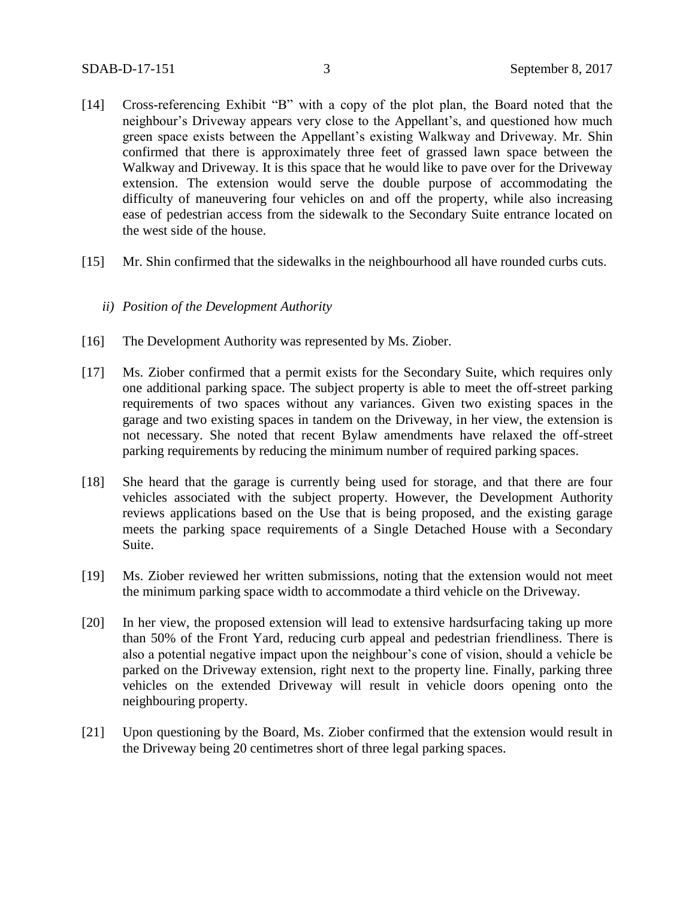- [14] Cross-referencing Exhibit "B" with a copy of the plot plan, the Board noted that the neighbour's Driveway appears very close to the Appellant's, and questioned how much green space exists between the Appellant's existing Walkway and Driveway. Mr. Shin confirmed that there is approximately three feet of grassed lawn space between the Walkway and Driveway. It is this space that he would like to pave over for the Driveway extension. The extension would serve the double purpose of accommodating the difficulty of maneuvering four vehicles on and off the property, while also increasing ease of pedestrian access from the sidewalk to the Secondary Suite entrance located on the west side of the house.
- [15] Mr. Shin confirmed that the sidewalks in the neighbourhood all have rounded curbs cuts.
	- *ii) Position of the Development Authority*
- [16] The Development Authority was represented by Ms. Ziober.
- [17] Ms. Ziober confirmed that a permit exists for the Secondary Suite, which requires only one additional parking space. The subject property is able to meet the off-street parking requirements of two spaces without any variances. Given two existing spaces in the garage and two existing spaces in tandem on the Driveway, in her view, the extension is not necessary. She noted that recent Bylaw amendments have relaxed the off-street parking requirements by reducing the minimum number of required parking spaces.
- [18] She heard that the garage is currently being used for storage, and that there are four vehicles associated with the subject property. However, the Development Authority reviews applications based on the Use that is being proposed, and the existing garage meets the parking space requirements of a Single Detached House with a Secondary Suite.
- [19] Ms. Ziober reviewed her written submissions, noting that the extension would not meet the minimum parking space width to accommodate a third vehicle on the Driveway.
- [20] In her view, the proposed extension will lead to extensive hardsurfacing taking up more than 50% of the Front Yard, reducing curb appeal and pedestrian friendliness. There is also a potential negative impact upon the neighbour's cone of vision, should a vehicle be parked on the Driveway extension, right next to the property line. Finally, parking three vehicles on the extended Driveway will result in vehicle doors opening onto the neighbouring property.
- [21] Upon questioning by the Board, Ms. Ziober confirmed that the extension would result in the Driveway being 20 centimetres short of three legal parking spaces.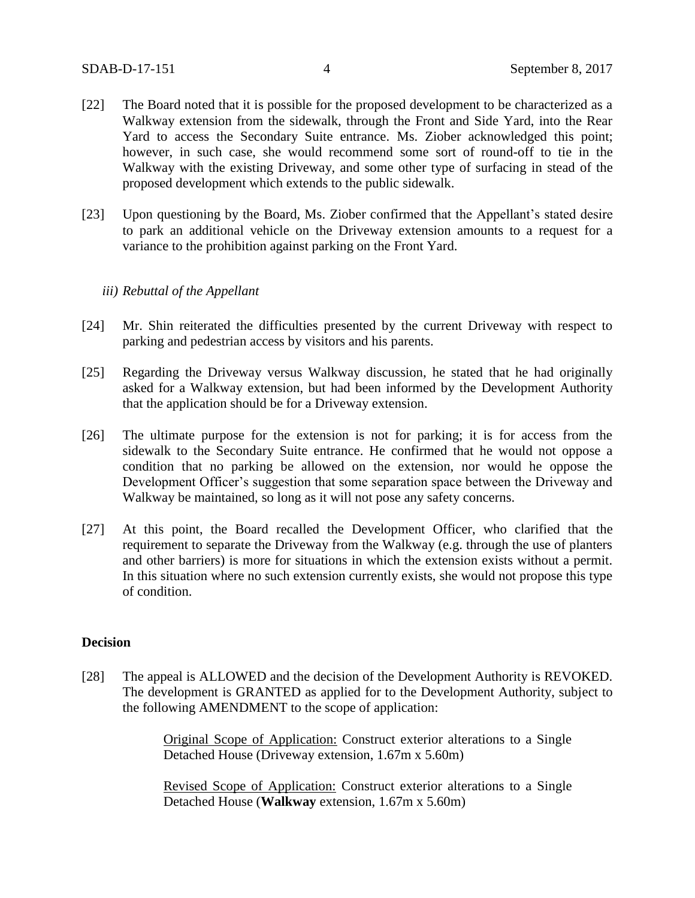- [22] The Board noted that it is possible for the proposed development to be characterized as a Walkway extension from the sidewalk, through the Front and Side Yard, into the Rear Yard to access the Secondary Suite entrance. Ms. Ziober acknowledged this point; however, in such case, she would recommend some sort of round-off to tie in the Walkway with the existing Driveway, and some other type of surfacing in stead of the proposed development which extends to the public sidewalk.
- [23] Upon questioning by the Board, Ms. Ziober confirmed that the Appellant's stated desire to park an additional vehicle on the Driveway extension amounts to a request for a variance to the prohibition against parking on the Front Yard.

### *iii) Rebuttal of the Appellant*

- [24] Mr. Shin reiterated the difficulties presented by the current Driveway with respect to parking and pedestrian access by visitors and his parents.
- [25] Regarding the Driveway versus Walkway discussion, he stated that he had originally asked for a Walkway extension, but had been informed by the Development Authority that the application should be for a Driveway extension.
- [26] The ultimate purpose for the extension is not for parking; it is for access from the sidewalk to the Secondary Suite entrance. He confirmed that he would not oppose a condition that no parking be allowed on the extension, nor would he oppose the Development Officer's suggestion that some separation space between the Driveway and Walkway be maintained, so long as it will not pose any safety concerns.
- [27] At this point, the Board recalled the Development Officer, who clarified that the requirement to separate the Driveway from the Walkway (e.g. through the use of planters and other barriers) is more for situations in which the extension exists without a permit. In this situation where no such extension currently exists, she would not propose this type of condition.

#### **Decision**

[28] The appeal is ALLOWED and the decision of the Development Authority is REVOKED. The development is GRANTED as applied for to the Development Authority, subject to the following AMENDMENT to the scope of application:

> Original Scope of Application: Construct exterior alterations to a Single Detached House (Driveway extension, 1.67m x 5.60m)

> Revised Scope of Application: Construct exterior alterations to a Single Detached House (**Walkway** extension, 1.67m x 5.60m)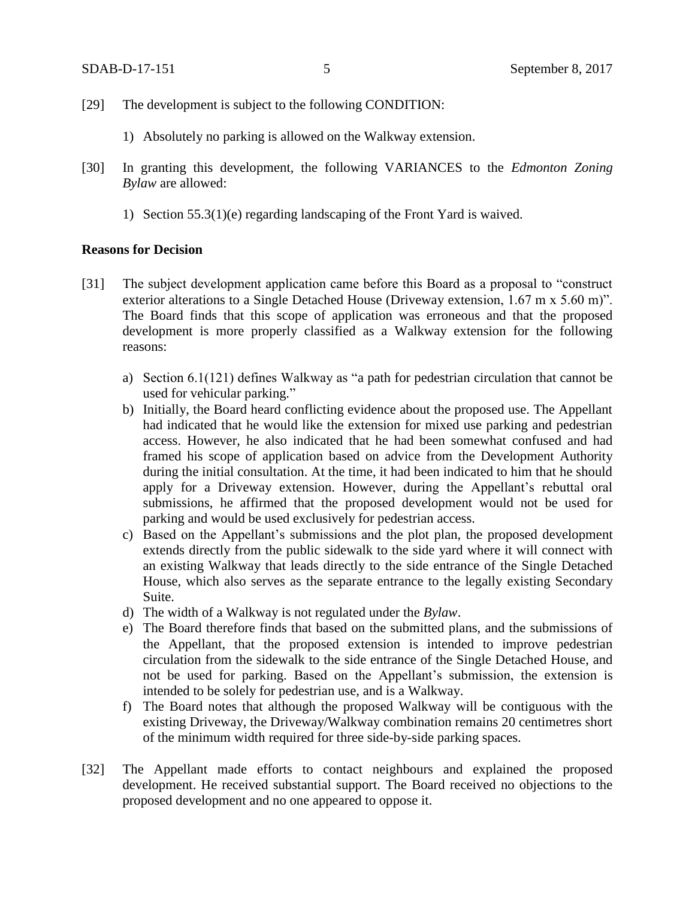- [29] The development is subject to the following CONDITION:
	- 1) Absolutely no parking is allowed on the Walkway extension.
- [30] In granting this development, the following VARIANCES to the *Edmonton Zoning Bylaw* are allowed:
	- 1) Section 55.3(1)(e) regarding landscaping of the Front Yard is waived.

### **Reasons for Decision**

- [31] The subject development application came before this Board as a proposal to "construct exterior alterations to a Single Detached House (Driveway extension, 1.67 m x 5.60 m)". The Board finds that this scope of application was erroneous and that the proposed development is more properly classified as a Walkway extension for the following reasons:
	- a) Section 6.1(121) defines Walkway as "a path for pedestrian circulation that cannot be used for vehicular parking."
	- b) Initially, the Board heard conflicting evidence about the proposed use. The Appellant had indicated that he would like the extension for mixed use parking and pedestrian access. However, he also indicated that he had been somewhat confused and had framed his scope of application based on advice from the Development Authority during the initial consultation. At the time, it had been indicated to him that he should apply for a Driveway extension. However, during the Appellant's rebuttal oral submissions, he affirmed that the proposed development would not be used for parking and would be used exclusively for pedestrian access.
	- c) Based on the Appellant's submissions and the plot plan, the proposed development extends directly from the public sidewalk to the side yard where it will connect with an existing Walkway that leads directly to the side entrance of the Single Detached House, which also serves as the separate entrance to the legally existing Secondary Suite.
	- d) The width of a Walkway is not regulated under the *Bylaw*.
	- e) The Board therefore finds that based on the submitted plans, and the submissions of the Appellant, that the proposed extension is intended to improve pedestrian circulation from the sidewalk to the side entrance of the Single Detached House, and not be used for parking. Based on the Appellant's submission, the extension is intended to be solely for pedestrian use, and is a Walkway.
	- f) The Board notes that although the proposed Walkway will be contiguous with the existing Driveway, the Driveway/Walkway combination remains 20 centimetres short of the minimum width required for three side-by-side parking spaces.
- [32] The Appellant made efforts to contact neighbours and explained the proposed development. He received substantial support. The Board received no objections to the proposed development and no one appeared to oppose it.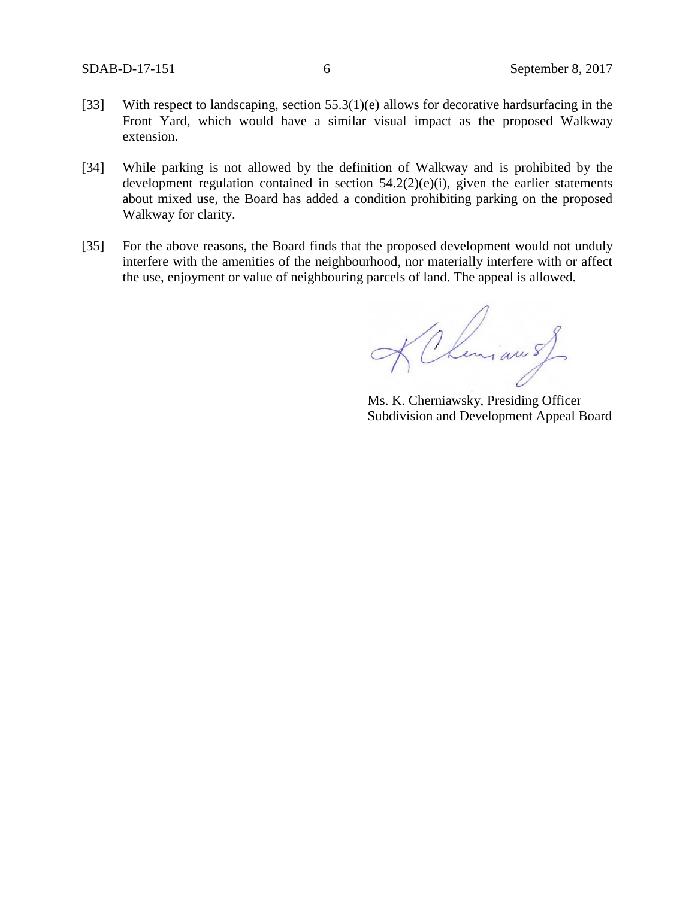- [33] With respect to landscaping, section 55.3(1)(e) allows for decorative hardsurfacing in the Front Yard, which would have a similar visual impact as the proposed Walkway extension.
- [34] While parking is not allowed by the definition of Walkway and is prohibited by the development regulation contained in section  $54.2(2)(e)(i)$ , given the earlier statements about mixed use, the Board has added a condition prohibiting parking on the proposed Walkway for clarity.
- [35] For the above reasons, the Board finds that the proposed development would not unduly interfere with the amenities of the neighbourhood, nor materially interfere with or affect the use, enjoyment or value of neighbouring parcels of land. The appeal is allowed.

KChemian s)

Ms. K. Cherniawsky, Presiding Officer Subdivision and Development Appeal Board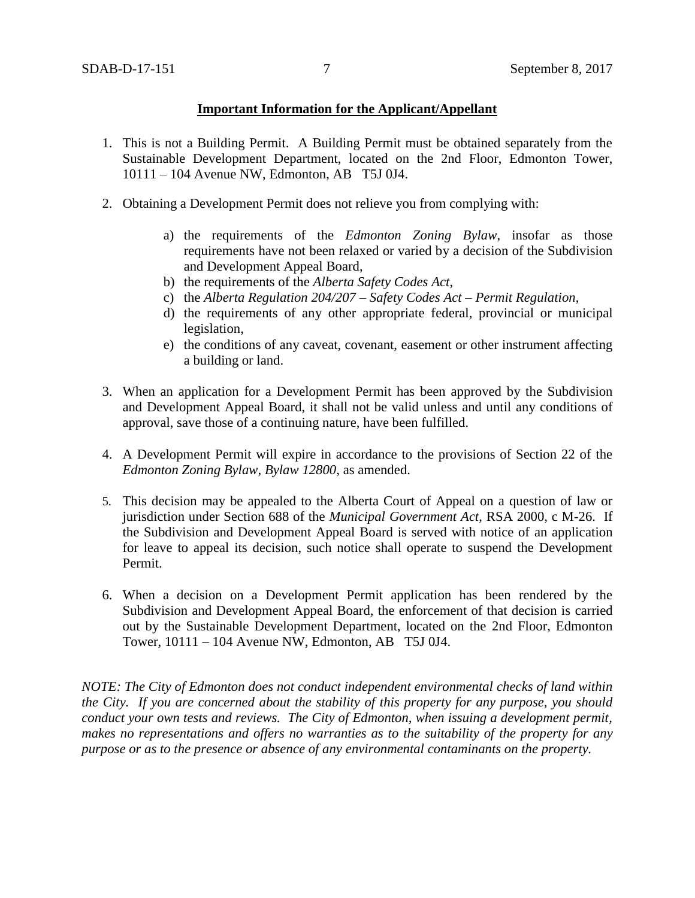## **Important Information for the Applicant/Appellant**

- 1. This is not a Building Permit. A Building Permit must be obtained separately from the Sustainable Development Department, located on the 2nd Floor, Edmonton Tower, 10111 – 104 Avenue NW, Edmonton, AB T5J 0J4.
- 2. Obtaining a Development Permit does not relieve you from complying with:
	- a) the requirements of the *Edmonton Zoning Bylaw*, insofar as those requirements have not been relaxed or varied by a decision of the Subdivision and Development Appeal Board,
	- b) the requirements of the *Alberta Safety Codes Act*,
	- c) the *Alberta Regulation 204/207 – Safety Codes Act – Permit Regulation*,
	- d) the requirements of any other appropriate federal, provincial or municipal legislation,
	- e) the conditions of any caveat, covenant, easement or other instrument affecting a building or land.
- 3. When an application for a Development Permit has been approved by the Subdivision and Development Appeal Board, it shall not be valid unless and until any conditions of approval, save those of a continuing nature, have been fulfilled.
- 4. A Development Permit will expire in accordance to the provisions of Section 22 of the *Edmonton Zoning Bylaw, Bylaw 12800*, as amended.
- 5. This decision may be appealed to the Alberta Court of Appeal on a question of law or jurisdiction under Section 688 of the *Municipal Government Act*, RSA 2000, c M-26. If the Subdivision and Development Appeal Board is served with notice of an application for leave to appeal its decision, such notice shall operate to suspend the Development Permit.
- 6. When a decision on a Development Permit application has been rendered by the Subdivision and Development Appeal Board, the enforcement of that decision is carried out by the Sustainable Development Department, located on the 2nd Floor, Edmonton Tower, 10111 – 104 Avenue NW, Edmonton, AB T5J 0J4.

*NOTE: The City of Edmonton does not conduct independent environmental checks of land within the City. If you are concerned about the stability of this property for any purpose, you should conduct your own tests and reviews. The City of Edmonton, when issuing a development permit, makes no representations and offers no warranties as to the suitability of the property for any purpose or as to the presence or absence of any environmental contaminants on the property.*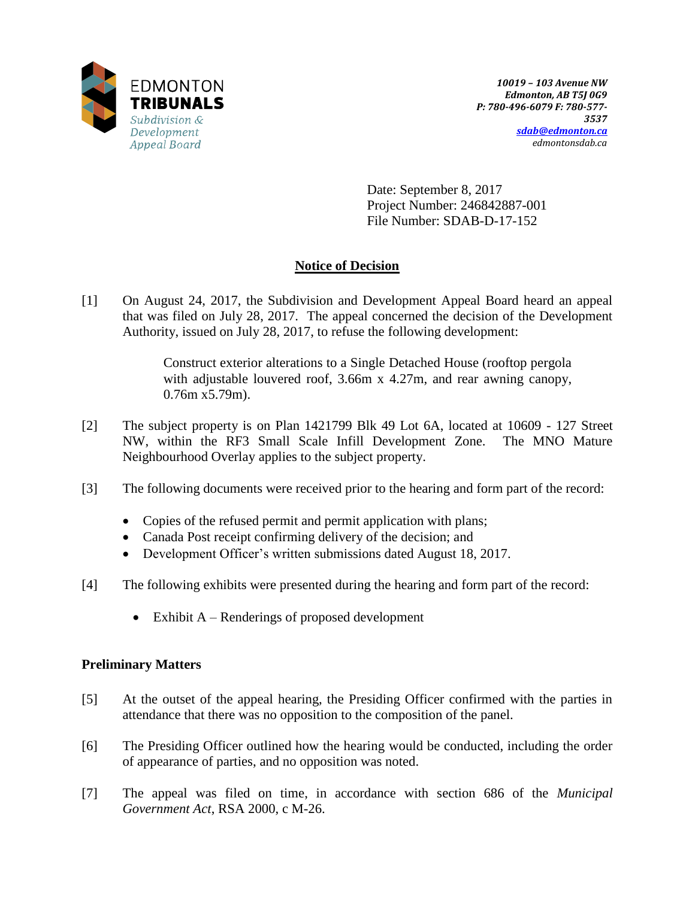

Date: September 8, 2017 Project Number: 246842887-001 File Number: SDAB-D-17-152

# **Notice of Decision**

[1] On August 24, 2017, the Subdivision and Development Appeal Board heard an appeal that was filed on July 28, 2017. The appeal concerned the decision of the Development Authority, issued on July 28, 2017, to refuse the following development:

> Construct exterior alterations to a Single Detached House (rooftop pergola with adjustable louvered roof, 3.66m x 4.27m, and rear awning canopy, 0.76m x5.79m).

- [2] The subject property is on Plan 1421799 Blk 49 Lot 6A, located at 10609 127 Street NW, within the RF3 Small Scale Infill Development Zone. The MNO Mature Neighbourhood Overlay applies to the subject property.
- [3] The following documents were received prior to the hearing and form part of the record:
	- Copies of the refused permit and permit application with plans;
	- Canada Post receipt confirming delivery of the decision; and
	- Development Officer's written submissions dated August 18, 2017.
- [4] The following exhibits were presented during the hearing and form part of the record:
	- Exhibit A Renderings of proposed development

## **Preliminary Matters**

- [5] At the outset of the appeal hearing, the Presiding Officer confirmed with the parties in attendance that there was no opposition to the composition of the panel.
- [6] The Presiding Officer outlined how the hearing would be conducted, including the order of appearance of parties, and no opposition was noted.
- [7] The appeal was filed on time, in accordance with section 686 of the *Municipal Government Act*, RSA 2000, c M-26.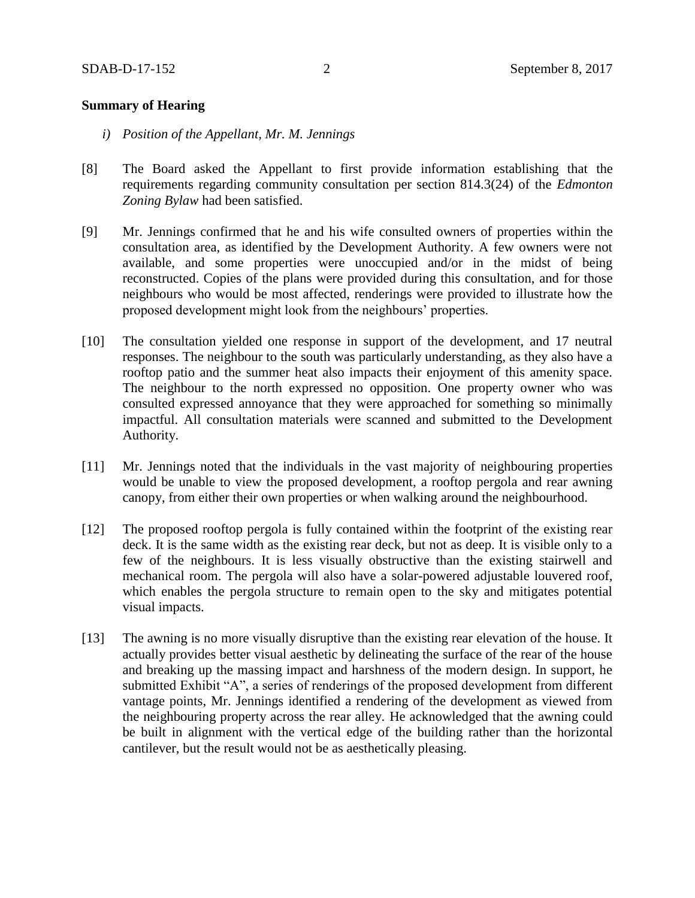### **Summary of Hearing**

- *i) Position of the Appellant, Mr. M. Jennings*
- [8] The Board asked the Appellant to first provide information establishing that the requirements regarding community consultation per section 814.3(24) of the *Edmonton Zoning Bylaw* had been satisfied.
- [9] Mr. Jennings confirmed that he and his wife consulted owners of properties within the consultation area, as identified by the Development Authority. A few owners were not available, and some properties were unoccupied and/or in the midst of being reconstructed. Copies of the plans were provided during this consultation, and for those neighbours who would be most affected, renderings were provided to illustrate how the proposed development might look from the neighbours' properties.
- [10] The consultation yielded one response in support of the development, and 17 neutral responses. The neighbour to the south was particularly understanding, as they also have a rooftop patio and the summer heat also impacts their enjoyment of this amenity space. The neighbour to the north expressed no opposition. One property owner who was consulted expressed annoyance that they were approached for something so minimally impactful. All consultation materials were scanned and submitted to the Development Authority.
- [11] Mr. Jennings noted that the individuals in the vast majority of neighbouring properties would be unable to view the proposed development, a rooftop pergola and rear awning canopy, from either their own properties or when walking around the neighbourhood.
- [12] The proposed rooftop pergola is fully contained within the footprint of the existing rear deck. It is the same width as the existing rear deck, but not as deep. It is visible only to a few of the neighbours. It is less visually obstructive than the existing stairwell and mechanical room. The pergola will also have a solar-powered adjustable louvered roof, which enables the pergola structure to remain open to the sky and mitigates potential visual impacts.
- [13] The awning is no more visually disruptive than the existing rear elevation of the house. It actually provides better visual aesthetic by delineating the surface of the rear of the house and breaking up the massing impact and harshness of the modern design. In support, he submitted Exhibit "A", a series of renderings of the proposed development from different vantage points, Mr. Jennings identified a rendering of the development as viewed from the neighbouring property across the rear alley. He acknowledged that the awning could be built in alignment with the vertical edge of the building rather than the horizontal cantilever, but the result would not be as aesthetically pleasing.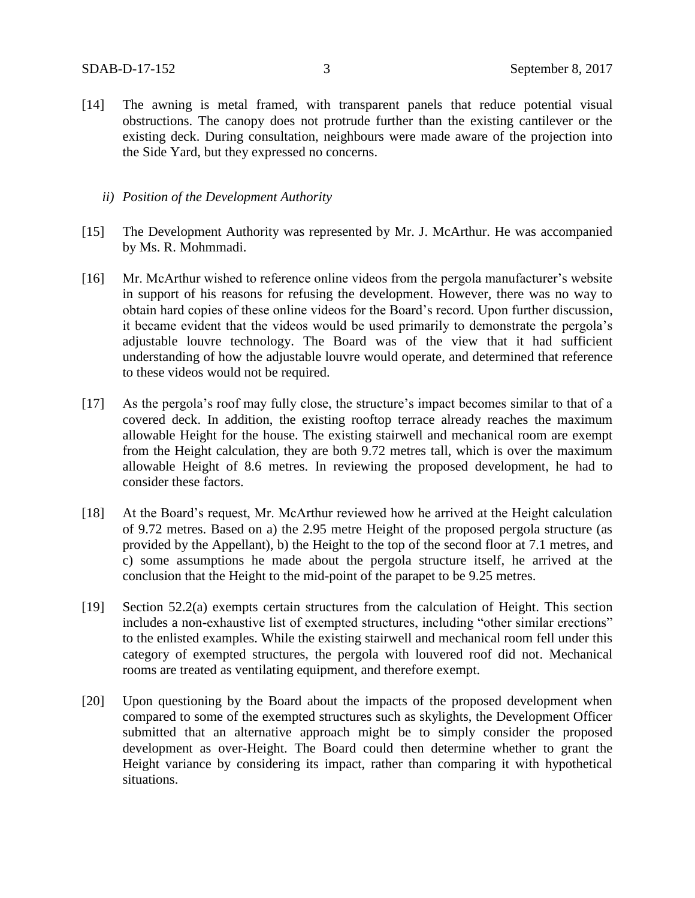[14] The awning is metal framed, with transparent panels that reduce potential visual obstructions. The canopy does not protrude further than the existing cantilever or the existing deck. During consultation, neighbours were made aware of the projection into the Side Yard, but they expressed no concerns.

#### *ii) Position of the Development Authority*

- [15] The Development Authority was represented by Mr. J. McArthur. He was accompanied by Ms. R. Mohmmadi.
- [16] Mr. McArthur wished to reference online videos from the pergola manufacturer's website in support of his reasons for refusing the development. However, there was no way to obtain hard copies of these online videos for the Board's record. Upon further discussion, it became evident that the videos would be used primarily to demonstrate the pergola's adjustable louvre technology. The Board was of the view that it had sufficient understanding of how the adjustable louvre would operate, and determined that reference to these videos would not be required.
- [17] As the pergola's roof may fully close, the structure's impact becomes similar to that of a covered deck. In addition, the existing rooftop terrace already reaches the maximum allowable Height for the house. The existing stairwell and mechanical room are exempt from the Height calculation, they are both 9.72 metres tall, which is over the maximum allowable Height of 8.6 metres. In reviewing the proposed development, he had to consider these factors.
- [18] At the Board's request, Mr. McArthur reviewed how he arrived at the Height calculation of 9.72 metres. Based on a) the 2.95 metre Height of the proposed pergola structure (as provided by the Appellant), b) the Height to the top of the second floor at 7.1 metres, and c) some assumptions he made about the pergola structure itself, he arrived at the conclusion that the Height to the mid-point of the parapet to be 9.25 metres.
- [19] Section 52.2(a) exempts certain structures from the calculation of Height. This section includes a non-exhaustive list of exempted structures, including "other similar erections" to the enlisted examples. While the existing stairwell and mechanical room fell under this category of exempted structures, the pergola with louvered roof did not. Mechanical rooms are treated as ventilating equipment, and therefore exempt.
- [20] Upon questioning by the Board about the impacts of the proposed development when compared to some of the exempted structures such as skylights, the Development Officer submitted that an alternative approach might be to simply consider the proposed development as over-Height. The Board could then determine whether to grant the Height variance by considering its impact, rather than comparing it with hypothetical situations.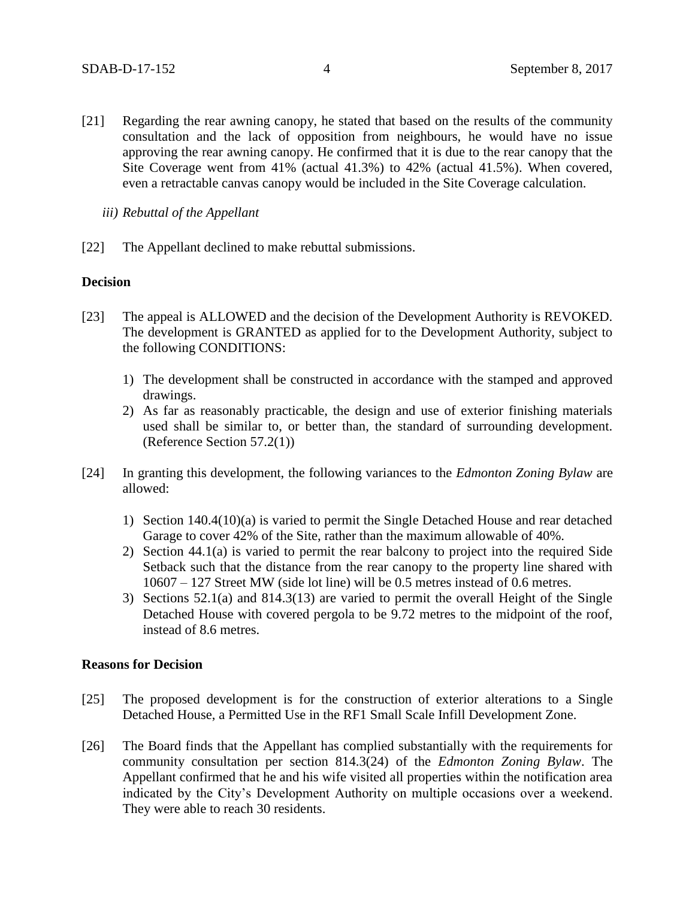- [21] Regarding the rear awning canopy, he stated that based on the results of the community consultation and the lack of opposition from neighbours, he would have no issue approving the rear awning canopy. He confirmed that it is due to the rear canopy that the Site Coverage went from 41% (actual 41.3%) to 42% (actual 41.5%). When covered, even a retractable canvas canopy would be included in the Site Coverage calculation.
	- *iii) Rebuttal of the Appellant*
- [22] The Appellant declined to make rebuttal submissions.

### **Decision**

- [23] The appeal is ALLOWED and the decision of the Development Authority is REVOKED. The development is GRANTED as applied for to the Development Authority, subject to the following CONDITIONS:
	- 1) The development shall be constructed in accordance with the stamped and approved drawings.
	- 2) As far as reasonably practicable, the design and use of exterior finishing materials used shall be similar to, or better than, the standard of surrounding development. (Reference Section 57.2(1))
- [24] In granting this development, the following variances to the *Edmonton Zoning Bylaw* are allowed:
	- 1) Section 140.4(10)(a) is varied to permit the Single Detached House and rear detached Garage to cover 42% of the Site, rather than the maximum allowable of 40%.
	- 2) Section 44.1(a) is varied to permit the rear balcony to project into the required Side Setback such that the distance from the rear canopy to the property line shared with 10607 – 127 Street MW (side lot line) will be 0.5 metres instead of 0.6 metres.
	- 3) Sections 52.1(a) and 814.3(13) are varied to permit the overall Height of the Single Detached House with covered pergola to be 9.72 metres to the midpoint of the roof, instead of 8.6 metres.

#### **Reasons for Decision**

- [25] The proposed development is for the construction of exterior alterations to a Single Detached House, a Permitted Use in the RF1 Small Scale Infill Development Zone.
- [26] The Board finds that the Appellant has complied substantially with the requirements for community consultation per section 814.3(24) of the *Edmonton Zoning Bylaw*. The Appellant confirmed that he and his wife visited all properties within the notification area indicated by the City's Development Authority on multiple occasions over a weekend. They were able to reach 30 residents.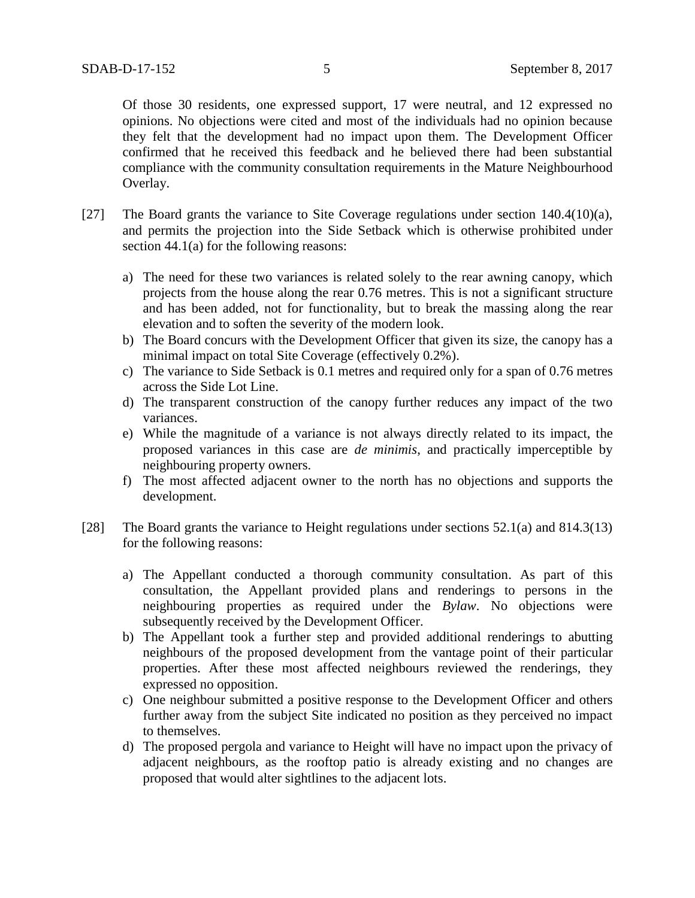Of those 30 residents, one expressed support, 17 were neutral, and 12 expressed no opinions. No objections were cited and most of the individuals had no opinion because they felt that the development had no impact upon them. The Development Officer confirmed that he received this feedback and he believed there had been substantial compliance with the community consultation requirements in the Mature Neighbourhood Overlay.

- [27] The Board grants the variance to Site Coverage regulations under section 140.4(10)(a), and permits the projection into the Side Setback which is otherwise prohibited under section 44.1(a) for the following reasons:
	- a) The need for these two variances is related solely to the rear awning canopy, which projects from the house along the rear 0.76 metres. This is not a significant structure and has been added, not for functionality, but to break the massing along the rear elevation and to soften the severity of the modern look.
	- b) The Board concurs with the Development Officer that given its size, the canopy has a minimal impact on total Site Coverage (effectively 0.2%).
	- c) The variance to Side Setback is 0.1 metres and required only for a span of 0.76 metres across the Side Lot Line.
	- d) The transparent construction of the canopy further reduces any impact of the two variances.
	- e) While the magnitude of a variance is not always directly related to its impact, the proposed variances in this case are *de minimis*, and practically imperceptible by neighbouring property owners.
	- f) The most affected adjacent owner to the north has no objections and supports the development.
- [28] The Board grants the variance to Height regulations under sections 52.1(a) and 814.3(13) for the following reasons:
	- a) The Appellant conducted a thorough community consultation. As part of this consultation, the Appellant provided plans and renderings to persons in the neighbouring properties as required under the *Bylaw*. No objections were subsequently received by the Development Officer.
	- b) The Appellant took a further step and provided additional renderings to abutting neighbours of the proposed development from the vantage point of their particular properties. After these most affected neighbours reviewed the renderings, they expressed no opposition.
	- c) One neighbour submitted a positive response to the Development Officer and others further away from the subject Site indicated no position as they perceived no impact to themselves.
	- d) The proposed pergola and variance to Height will have no impact upon the privacy of adjacent neighbours, as the rooftop patio is already existing and no changes are proposed that would alter sightlines to the adjacent lots.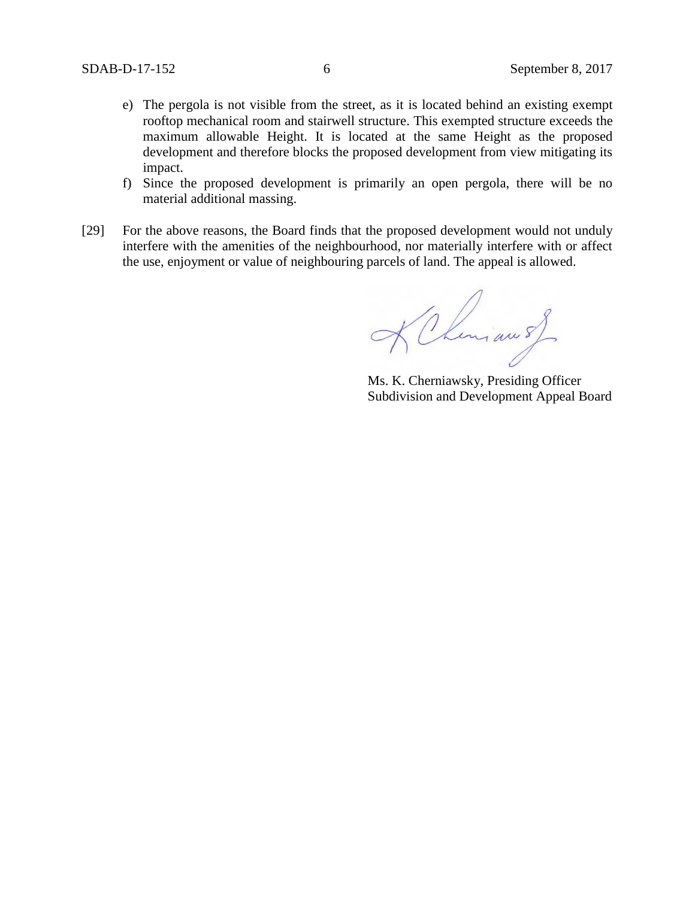- e) The pergola is not visible from the street, as it is located behind an existing exempt rooftop mechanical room and stairwell structure. This exempted structure exceeds the maximum allowable Height. It is located at the same Height as the proposed development and therefore blocks the proposed development from view mitigating its impact.
- f) Since the proposed development is primarily an open pergola, there will be no material additional massing.
- [29] For the above reasons, the Board finds that the proposed development would not unduly interfere with the amenities of the neighbourhood, nor materially interfere with or affect the use, enjoyment or value of neighbouring parcels of land. The appeal is allowed.

KChmiaus)

Ms. K. Cherniawsky, Presiding Officer Subdivision and Development Appeal Board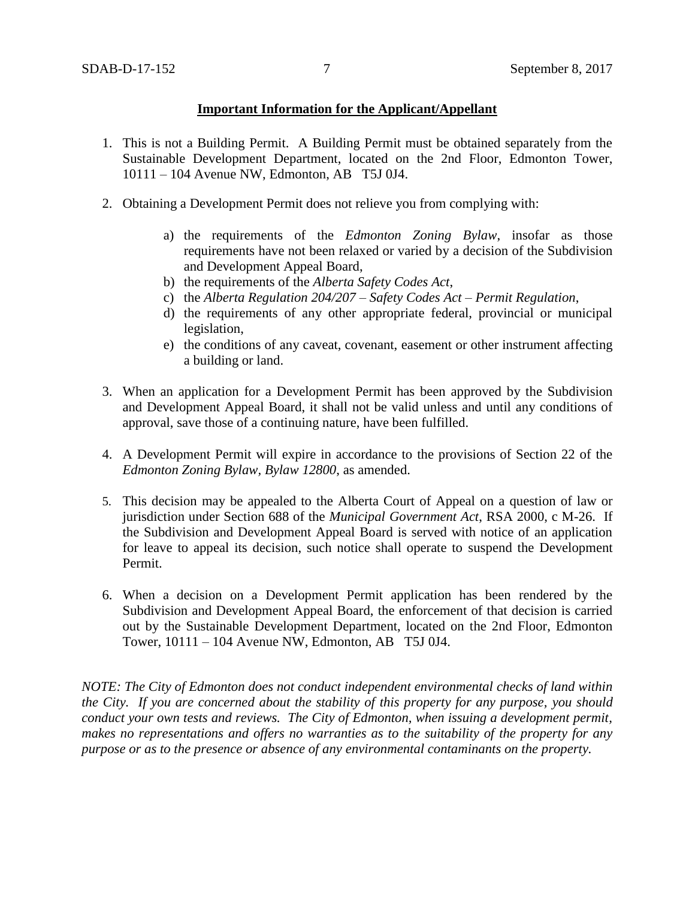## **Important Information for the Applicant/Appellant**

- 1. This is not a Building Permit. A Building Permit must be obtained separately from the Sustainable Development Department, located on the 2nd Floor, Edmonton Tower, 10111 – 104 Avenue NW, Edmonton, AB T5J 0J4.
- 2. Obtaining a Development Permit does not relieve you from complying with:
	- a) the requirements of the *Edmonton Zoning Bylaw*, insofar as those requirements have not been relaxed or varied by a decision of the Subdivision and Development Appeal Board,
	- b) the requirements of the *Alberta Safety Codes Act*,
	- c) the *Alberta Regulation 204/207 – Safety Codes Act – Permit Regulation*,
	- d) the requirements of any other appropriate federal, provincial or municipal legislation,
	- e) the conditions of any caveat, covenant, easement or other instrument affecting a building or land.
- 3. When an application for a Development Permit has been approved by the Subdivision and Development Appeal Board, it shall not be valid unless and until any conditions of approval, save those of a continuing nature, have been fulfilled.
- 4. A Development Permit will expire in accordance to the provisions of Section 22 of the *Edmonton Zoning Bylaw, Bylaw 12800*, as amended.
- 5. This decision may be appealed to the Alberta Court of Appeal on a question of law or jurisdiction under Section 688 of the *Municipal Government Act*, RSA 2000, c M-26. If the Subdivision and Development Appeal Board is served with notice of an application for leave to appeal its decision, such notice shall operate to suspend the Development Permit.
- 6. When a decision on a Development Permit application has been rendered by the Subdivision and Development Appeal Board, the enforcement of that decision is carried out by the Sustainable Development Department, located on the 2nd Floor, Edmonton Tower, 10111 – 104 Avenue NW, Edmonton, AB T5J 0J4.

*NOTE: The City of Edmonton does not conduct independent environmental checks of land within the City. If you are concerned about the stability of this property for any purpose, you should conduct your own tests and reviews. The City of Edmonton, when issuing a development permit, makes no representations and offers no warranties as to the suitability of the property for any purpose or as to the presence or absence of any environmental contaminants on the property.*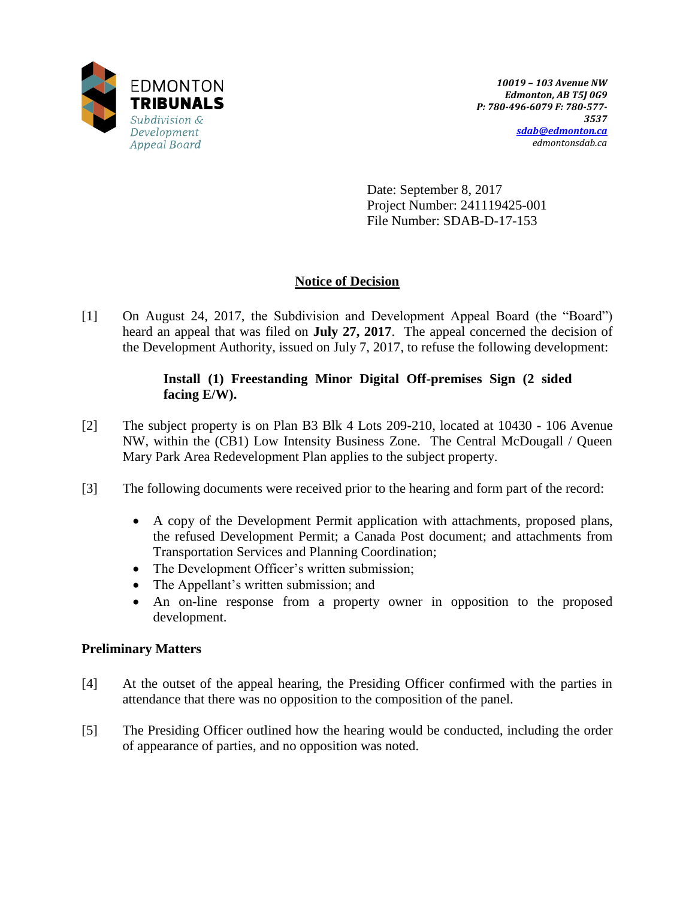

Date: September 8, 2017 Project Number: 241119425-001 File Number: SDAB-D-17-153

# **Notice of Decision**

[1] On August 24, 2017, the Subdivision and Development Appeal Board (the "Board") heard an appeal that was filed on **July 27, 2017**. The appeal concerned the decision of the Development Authority, issued on July 7, 2017, to refuse the following development:

## **Install (1) Freestanding Minor Digital Off-premises Sign (2 sided facing E/W).**

- [2] The subject property is on Plan B3 Blk 4 Lots 209-210, located at 10430 106 Avenue NW, within the (CB1) Low Intensity Business Zone. The Central McDougall / Queen Mary Park Area Redevelopment Plan applies to the subject property.
- [3] The following documents were received prior to the hearing and form part of the record:
	- A copy of the Development Permit application with attachments, proposed plans, the refused Development Permit; a Canada Post document; and attachments from Transportation Services and Planning Coordination;
	- The Development Officer's written submission;
	- The Appellant's written submission; and
	- An on-line response from a property owner in opposition to the proposed development.

# **Preliminary Matters**

- [4] At the outset of the appeal hearing, the Presiding Officer confirmed with the parties in attendance that there was no opposition to the composition of the panel.
- [5] The Presiding Officer outlined how the hearing would be conducted, including the order of appearance of parties, and no opposition was noted.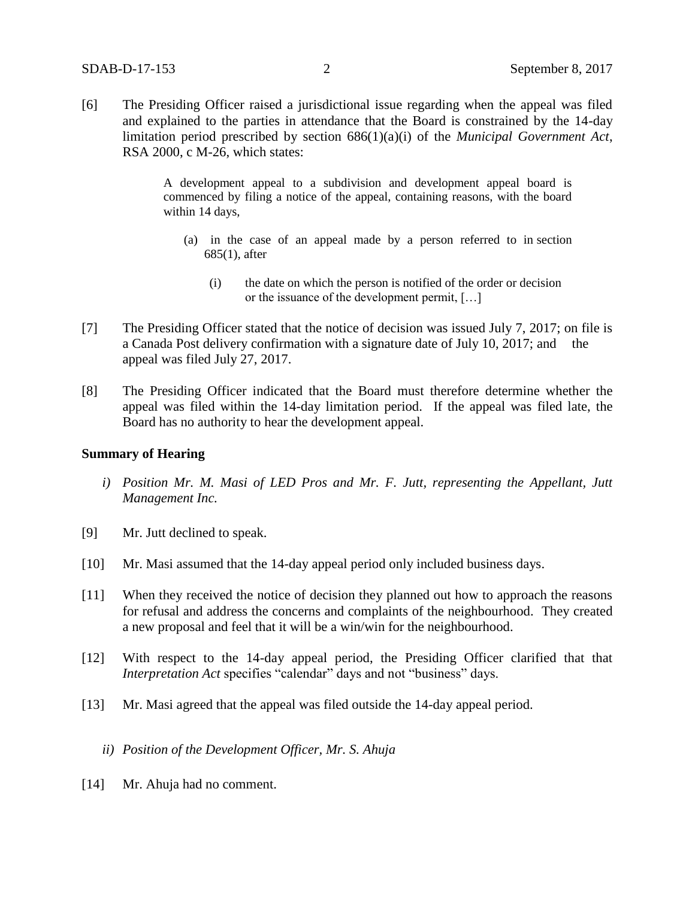[6] The Presiding Officer raised a jurisdictional issue regarding when the appeal was filed and explained to the parties in attendance that the Board is constrained by the 14-day limitation period prescribed by section 686(1)(a)(i) of the *Municipal Government Act*, RSA 2000, c M-26, which states:

> A development appeal to a subdivision and development appeal board is commenced by filing a notice of the appeal, containing reasons, with the board within 14 days,

- (a) in the case of an appeal made by a person referred to in section 685(1), after
	- (i) the date on which the person is notified of the order or decision or the issuance of the development permit, […]
- [7] The Presiding Officer stated that the notice of decision was issued July 7, 2017; on file is a Canada Post delivery confirmation with a signature date of July 10, 2017; and the appeal was filed July 27, 2017.
- [8] The Presiding Officer indicated that the Board must therefore determine whether the appeal was filed within the 14-day limitation period. If the appeal was filed late, the Board has no authority to hear the development appeal.

#### **Summary of Hearing**

- *i) Position Mr. M. Masi of LED Pros and Mr. F. Jutt, representing the Appellant, Jutt Management Inc.*
- [9] Mr. Jutt declined to speak.
- [10] Mr. Masi assumed that the 14-day appeal period only included business days.
- [11] When they received the notice of decision they planned out how to approach the reasons for refusal and address the concerns and complaints of the neighbourhood. They created a new proposal and feel that it will be a win/win for the neighbourhood.
- [12] With respect to the 14-day appeal period, the Presiding Officer clarified that that *Interpretation Act* specifies "calendar" days and not "business" days.
- [13] Mr. Masi agreed that the appeal was filed outside the 14-day appeal period.
	- *ii) Position of the Development Officer, Mr. S. Ahuja*
- [14] Mr. Ahuja had no comment.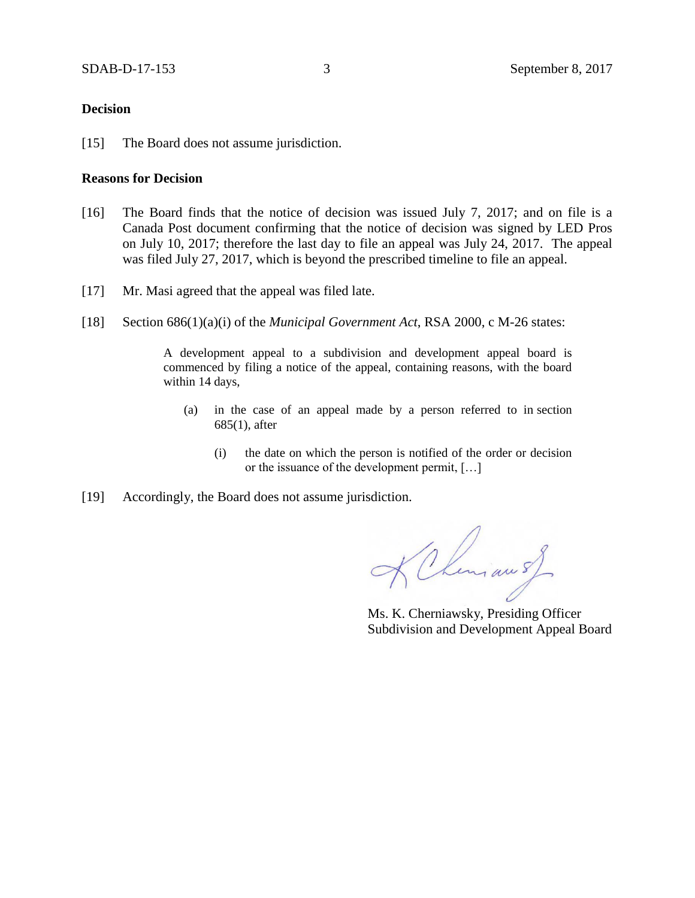### **Decision**

[15] The Board does not assume jurisdiction.

#### **Reasons for Decision**

- [16] The Board finds that the notice of decision was issued July 7, 2017; and on file is a Canada Post document confirming that the notice of decision was signed by LED Pros on July 10, 2017; therefore the last day to file an appeal was July 24, 2017. The appeal was filed July 27, 2017, which is beyond the prescribed timeline to file an appeal.
- [17] Mr. Masi agreed that the appeal was filed late.
- [18] Section 686(1)(a)(i) of the *Municipal Government Act*, RSA 2000, c M-26 states:

A development appeal to a subdivision and development appeal board is commenced by filing a notice of the appeal, containing reasons, with the board within 14 days,

- (a) in the case of an appeal made by a person referred to in section 685(1), after
	- (i) the date on which the person is notified of the order or decision or the issuance of the development permit, […]
- [19] Accordingly, the Board does not assume jurisdiction.

K Chemiau s)

Ms. K. Cherniawsky, Presiding Officer Subdivision and Development Appeal Board